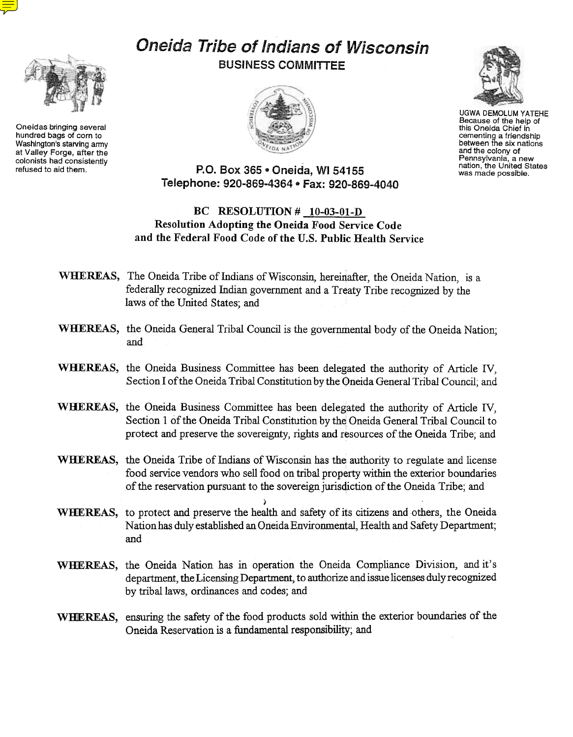Oneidas bringing several hundred bags of corn to Washington's starving army at Valley Forge, after the colonists had consistently<br>refused to aid them.

# Oneida Tribe of Indians of Wisconsin BUSINESS COMMITTEE





UGWA DEMOLUM YATEHE Because of the help of this Oneida Chief in cementing a friendship between the six nations and the colony of Pennsylvania, a new nation, the United States was made possible.

## P.O. Box 365 . Oneida, WI 54155 Telephone: 920-869-4364 · Fax: 920-869-4040

### BC RESOLUTION  $#$  10-03-01-D Resolution Adopting the Oneida Food Service Code and the Federal Food Code of the U.S. Public Health Service

- WHEREAS, The Oneida Tribe of Indians of Wisconsin, hereinafter, the Oneida Nation, is a federally recognized Indian government and a Treaty Tribe recognized by the laws of the United States; and
- WHEREAS, the Oneida General Tribal Council is the governmental body of the Oneida Nation: and
- WHEREAS, the Oneida Business Committee has been delegated the authority of Article IV, Section I of the Oneida Tribal Constitution by the Oneida General Tribal Council; and
- WHEREAS, the Oneida Business Committee has been delegated the authority of Article IV, Section 1 of the Oneida Tribal Constitution by the Oneida General Tribal Council to protect and preserve the sovereignty, rights and resources of the Oneida Tribe; and
- WHEREAS, the Oneida Tribe of Indians of Wisconsin has the authority to regulate and license food service vendors who sell food on tribal property within the exterior boundaries of the reservation pursuant to the sovereign jurisdiction of the Oneida Tribe; and
- ) WHEREAS, to protect and preserve the health and safety of its citizens and others, the Oneida Nationhas duly established an Oneida Environmental, Health and Safety Department; and
- WHEREAS, the Oneida Nation has in operation the Oneida Compliance Division, and it's department, the Licensing Department, to authorize and issue licenses duly recognized by tribal laws, ordinances and codes; and
- WHIEREAS, ensuring the safety of the food products sold within the exterior boundaries of the Oneida Reservation is a fundamental responsibility; and